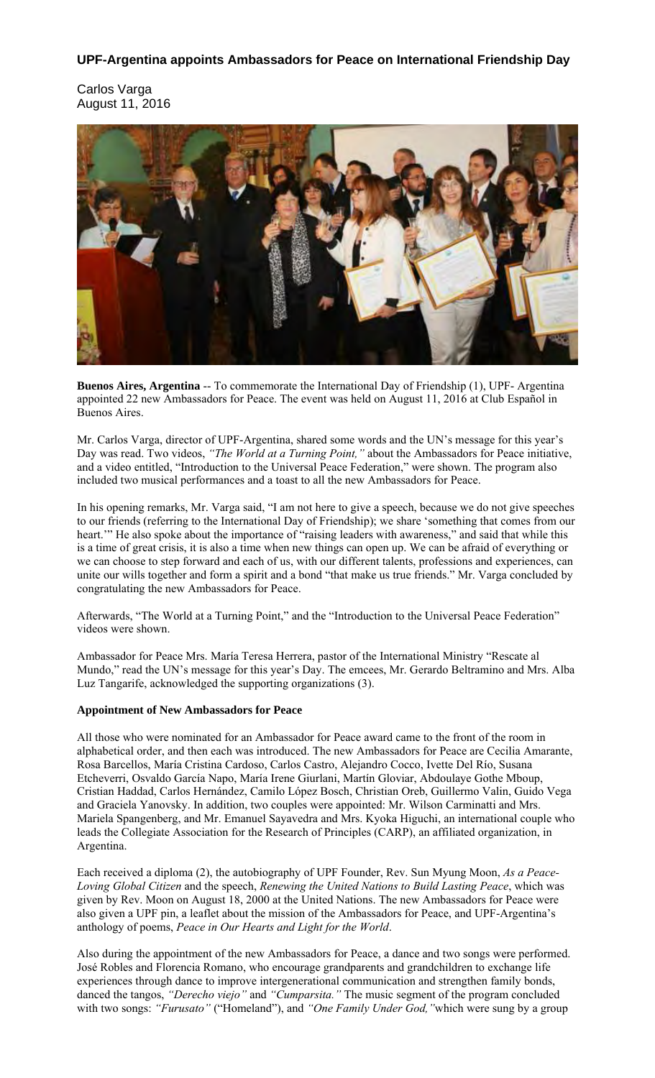# **UPF-Argentina appoints Ambassadors for Peace on International Friendship Day**

Carlos Varga August 11, 2016



**Buenos Aires, Argentina** -- To commemorate the International Day of Friendship (1), UPF- Argentina appointed 22 new Ambassadors for Peace. The event was held on August 11, 2016 at Club Español in Buenos Aires.

Mr. Carlos Varga, director of UPF-Argentina, shared some words and the UN's message for this year's Day was read. Two videos, *"The World at a Turning Point,"* about the Ambassadors for Peace initiative, and a video entitled, "Introduction to the Universal Peace Federation," were shown. The program also included two musical performances and a toast to all the new Ambassadors for Peace.

In his opening remarks, Mr. Varga said, "I am not here to give a speech, because we do not give speeches to our friends (referring to the International Day of Friendship); we share 'something that comes from our heart." He also spoke about the importance of "raising leaders with awareness," and said that while this is a time of great crisis, it is also a time when new things can open up. We can be afraid of everything or we can choose to step forward and each of us, with our different talents, professions and experiences, can unite our wills together and form a spirit and a bond "that make us true friends." Mr. Varga concluded by congratulating the new Ambassadors for Peace.

Afterwards, "The World at a Turning Point," and the "Introduction to the Universal Peace Federation" videos were shown.

Ambassador for Peace Mrs. María Teresa Herrera, pastor of the International Ministry "Rescate al Mundo," read the UN's message for this year's Day. The emcees, Mr. Gerardo Beltramino and Mrs. Alba Luz Tangarife, acknowledged the supporting organizations (3).

## **Appointment of New Ambassadors for Peace**

All those who were nominated for an Ambassador for Peace award came to the front of the room in alphabetical order, and then each was introduced. The new Ambassadors for Peace are Cecilia Amarante, Rosa Barcellos, María Cristina Cardoso, Carlos Castro, Alejandro Cocco, Ivette Del Río, Susana Etcheverri, Osvaldo García Napo, María Irene Giurlani, Martín Gloviar, Abdoulaye Gothe Mboup, Cristian Haddad, Carlos Hernández, Camilo López Bosch, Christian Oreb, Guillermo Valin, Guido Vega and Graciela Yanovsky. In addition, two couples were appointed: Mr. Wilson Carminatti and Mrs. Mariela Spangenberg, and Mr. Emanuel Sayavedra and Mrs. Kyoka Higuchi, an international couple who leads the Collegiate Association for the Research of Principles (CARP), an affiliated organization, in Argentina.

Each received a diploma (2), the autobiography of UPF Founder, Rev. Sun Myung Moon, *As a Peace-Loving Global Citizen* and the speech, *Renewing the United Nations to Build Lasting Peace*, which was given by Rev. Moon on August 18, 2000 at the United Nations. The new Ambassadors for Peace were also given a UPF pin, a leaflet about the mission of the Ambassadors for Peace, and UPF-Argentina's anthology of poems, *Peace in Our Hearts and Light for the World*.

Also during the appointment of the new Ambassadors for Peace, a dance and two songs were performed. José Robles and Florencia Romano, who encourage grandparents and grandchildren to exchange life experiences through dance to improve intergenerational communication and strengthen family bonds, danced the tangos, *"Derecho viejo"* and *"Cumparsita."* The music segment of the program concluded with two songs: *"Furusato"* ("Homeland"), and *"One Family Under God,"*which were sung by a group